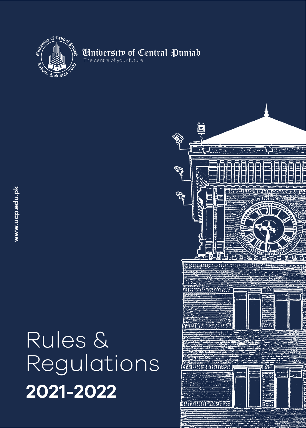

## **Anibersity of Central Punjab**<br>The centre of your future

# 2021-2022 Rules & Regulations

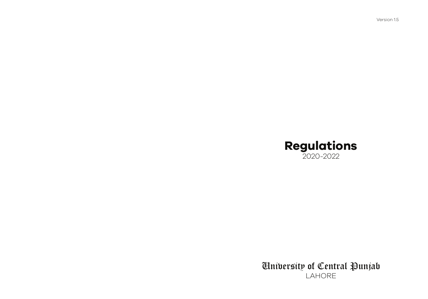Version 1.5

## Regulations 2020-2022

University of Central Punjab LAHORE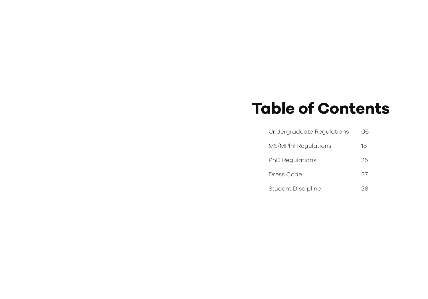# Table of Contents

| Undergraduate Regulations | 06 |
|---------------------------|----|
| MS/MPhil Regulations      | 18 |
| <b>PhD Regulations</b>    | 26 |
| Dress Code                | 37 |
| <b>Student Discipline</b> |    |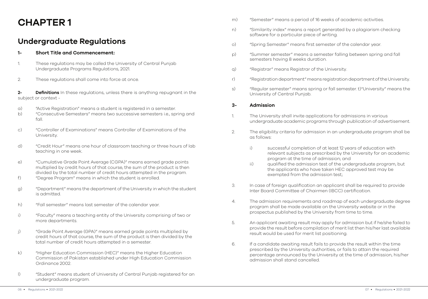## CHAPTER 1

### Undergraduate Regulations

#### 1- Short Title and Commencement:

- 1. These regulations may be called the University of Central Punjab Undergraduate Programs Regulations, 2021.
- 2. These regulations shall come into force at once.

2- **Definitions** In these regulations, unless there is anything repugnant in the subject or context -

- a) "Active Registration" means a student is registered in a semester.
- b) "Consecutive Semesters" means two successive semesters i.e., spring and fall.
- c) "Controller of Examinations" means Controller of Examinations of the University.
- d) "Credit Hour" means one hour of classroom teaching or three hours of lab teaching in one week.
- e) "Cumulative Grade Point Average (CGPA)" means earned grade points multiplied by credit hours of that course, the sum of the product is then divided by the total number of credit hours attempted in the program.
- f) "Degree Program" means in which the student is enrolled.
- g) "Department" means the department of the University in which the student is admitted.
- h) "Fall semester" means last semester of the calendar year.
- i) "Faculty" means a teaching entity of the University comprising of two or more departments.
- j) "Grade Point Average (GPA)" means earned grade points multiplied by credit hours of that course, the sum of the product is then divided by the total number of credit hours attempted in a semester.
- k) "Higher Education Commission (HEC)" means the Higher Education Commission of Pakistan established under High Education Commission Ordinance 2002.
- l) "Student" means student of University of Central Punjab registered for an undergraduate program.
- m) "Semester" means a period of 16 weeks of academic activities.
- n) "Similarity index" means a report generated by a plagiarism checking software for a particular piece of writing.
- o) "Spring Semester" means first semester of the calendar year.
- p) "Summer semester" means a semester falling between spring and fall semesters having 8 weeks duration.
- q) "Registrar" means Registrar of the University.
- r) "Registration department" means registration department of the University.
- s) "Regular semester" means spring or fall semester. t)"University" means the University of Central Punjab.

#### 3- Admission

- 1. The University shall invite applications for admissions in various undergraduate academic programs through publication of advertisement.
- 2. The eligibility criteria for admission in an undergraduate program shall be as follows:
	- i) successful completion of at least 12 years of education with relevant subjects as prescribed by the University for an academic program at the time of admission; and
	- ii) qualified the admission test of the undergraduate program, but the applicants who have taken HEC approved test may be exempted from the admission test;
- 3. In case of foreign qualification an applicant shall be required to provide Inter Board Committee of Chairmen (IBCC) certification.
- 4. The admission requirements and roadmap of each undergraduate degree program shall be made available on the University website or in the prospectus published by the University from time to time.
- 5. An applicant awaiting result may apply for admission but if he/she failed to provide the result before compilation of merit list then his/her last available result would be used for merit list positioning.
- 6. If a candidate awaiting result fails to provide the result within the time prescribed by the University authorities, or fails to attain the required percentage announced by the University at the time of admission, his/her admission shall stand cancelled.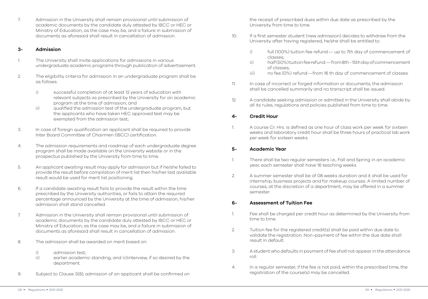7. Admission in the University shall remain provisional until submission of academic documents by the candidate duly attested by IBCC or HEC or Ministry of Education, as the case may be, and a failure in submission of documents as aforesaid shall result in cancellation of admission.

#### 3- Admission

- 1. The University shall invite applications for admissions in various undergraduate academic programs through publication of advertisement.
- 2. The eligibility criteria for admission in an undergraduate program shall be as follows:
	- i) successful completion of at least 12 years of education with relevant subjects as prescribed by the University for an academic program at the time of admission; and
	- ii) qualified the admission test of the undergraduate program, but the applicants who have taken HEC approved test may be exempted from the admission test;
- 3. In case of foreign qualification an applicant shall be required to provide Inter Board Committee of Chairmen (IBCC) certification.
- 4. The admission requirements and roadmap of each undergraduate degree program shall be made available on the University website or in the prospectus published by the University from time to time.
- 5. An applicant awaiting result may apply for admission but if he/she failed to provide the result before compilation of merit list then his/her last available result would be used for merit list positioning.
- 6. If a candidate awaiting result fails to provide the result within the time prescribed by the University authorities, or fails to attain the required percentage announced by the University at the time of admission, his/her admission shall stand cancelled.
- 7. Admission in the University shall remain provisional until submission of academic documents by the candidate duly attested by IBCC or HEC or Ministry of Education, as the case may be, and a failure in submission of documents as aforesaid shall result in cancellation of admission.
- 8. The admission shall be awarded on merit based on:
	- i) admission test;
	- ii) earlier academic standing; and iii)interview, if so desired by the department.
- 9. Subject to Clause 3(8), admission of an applicant shall be confirmed on

the receipt of prescribed dues within due date as prescribed by the University from time to time.

- 10. If a first semester student (new admission) decides to withdraw from the University after having registered, he/she shall be entitled to:
	- i) full (100%) tuition fee refund:— up to 7th day of commencement of classes;
	- ii) half (50%) tuition fee refund:— from 8th 15th day of commencement of classes;
	- iii) no fee (0%) refund:—from 16 th day of commencement of classes.
- 11. In case of incorrect or forged information or documents, the admission shall be cancelled summarily and no transcript shall be issued.
- 12. A candidate seeking admission or admitted in the University shall abide by all its rules, regulations and policies published from time to time.

#### 4- Credit Hour

1. A course Cr. Hrs. is defined as one hour of class work per week for sixteen weeks and laboratory credit hour shall be three hours of practical lab work per week for sixteen weeks.

#### 5- Academic Year

- 1. There shall be two regular semesters i.e., Fall and Spring in an academic year, each semester shall have 16 teaching weeks.
- 2. A summer semester shall be of 08 weeks duration and it shall be used for internship, business projects and for makeup courses. A limited number of courses, at the discretion of a department, may be offered in a summer semester.

#### 6- Assessment of Tuition Fee

- 1. Fee shall be charged per credit hour as determined by the University from time to time.
- 2. Tuition fee for the registered credit(s) shall be paid within due date to validate the registration. Non-payment of fee within the due date shall result in default.
- 3. A student who defaults in payment of fee shall not appear in the attendance roll.
- 4. In a regular semester, if the fee is not paid, within the prescribed time, the registration of the course(s) may be cancelled.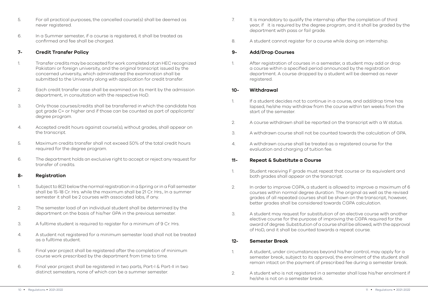- 5. For all practical purposes, the cancelled course(s) shall be deemed as never registered.
- 6. In a Summer semester, if a course is registered, it shall be treated as confirmed and fee shall be charged.

#### 7- Credit Transfer Policy

- 1. Transfer credits may be accepted for work completed at an HEC recognized Pakistani or foreign university, and the original transcript issued by the concerned university, which administered the examination shall be submitted to the University along with application for credit transfer.
- 2. Each credit transfer case shall be examined on its merit by the admission department, in consultation with the respective HoD.
- 3. Only those courses/credits shall be transferred in which the candidate has got grade C+ or higher and if those can be counted as part of applicants' degree program.
- 4. Accepted credit hours against course(s), without grades, shall appear on the transcript.
- 5. Maximum credits transfer shall not exceed 50% of the total credit hours required for the degree program.
- 6. The department holds an exclusive right to accept or reject any request for transfer of credits.

#### 8- Registration

- 1. Subject to 8(2) below the normal registration in a Spring or in a Fall semester shall be 15-18 Cr. Hrs. while the maximum shall be 21 Cr. Hrs., In a summer semester it shall be 2 courses with associated labs, if any.
- 2. The semester load of an individual student shall be determined by the department on the basis of his/her GPA in the previous semester.
- 3. A fulltime student is required to register for a minimum of 9 Cr. Hrs.
- 4. A student not registered for a minimum semester load shall not be treated as a fulltime student.
- 5. Final year project shall be registered after the completion of minimum course work prescribed by the department from time to time.
- 6. Final year project shall be registered in two parts, Part-I & Part-II in two distinct semesters, none of which can be a summer semester.
- 7. It is mandatory to qualify the internship after the completion of third year, if it is required by the degree program, and it shall be graded by the department with pass or fail grade.
- 8. A student cannot register for a course while doing an internship.

#### 9- Add/Drop Courses

1. After registration of courses in a semester, a student may add or drop a course within a specified period announced by the registration department. A course dropped by a student will be deemed as never registered.

#### 10- Withdrawal

- 1. If a student decides not to continue in a course, and add/drop time has lapsed, he/she may withdraw from the course within ten weeks from the start of the semester.
- 2. A course withdrawn shall be reported on the transcript with a W status.
- 3. A withdrawn course shall not be counted towards the calculation of GPA.
- 4. A withdrawn course shall be treated as a registered course for the evaluation and charging of tuition fee.

#### 11- Repeat & Substitute a Course

- 1. Student receiving F grade must repeat that course or its equivalent and both grades shall appear on the transcript.
- 2. In order to improve CGPA, a student is allowed to improve a maximum of 6 courses within normal degree duration. The original as well as the revised grades of all repeated courses shall be shown on the transcript; however, better grades shall be considered towards CGPA calculation.
- 3. A student may request for substitution of an elective course with another elective course for the purpose of improving the CGPA required for the award of degree. Substitution of a course shall be allowed, with the approval of HoD, and it shall be counted towards a repeat course.

#### 12- Semester Break

- 1. A student, under circumstances beyond his/her control, may apply for a semester break, subject to its approval, the enrolment of the student shall remain intact on the payment of prescribed fee during a semester break.
- 2. A student who is not registered in a semester shall lose his/her enrolment if he/she is not on a semester break.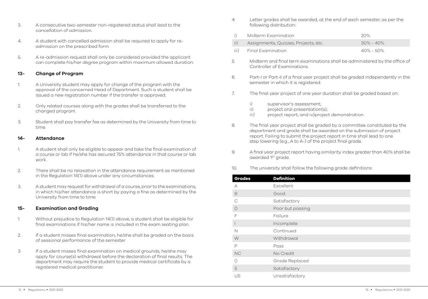- 3. A consecutive two-semester non-registered status shall lead to the cancellation of admission.
- 4. A student with cancelled admission shall be required to apply for readmission on the prescribed form.
- 5. A re-admission request shall only be considered provided the applicant can complete his/her degree program within maximum allowed duration.

#### 13- Change of Program

- 1. A University student may apply for change of the program with the approval of the concerned Head of Department. Such a student shall be issued a new registration number if the transfer is approved.
- 2. Only related courses along with the grades shall be transferred to the changed program.
- 3. Student shall pay transfer fee as determined by the University from time to time.

#### 14- Attendance

- 1. A student shall only be eligible to appear and take the final examination of a course or lab if he/she has secured 75% attendance in that course or lab work.
- 2. There shall be no relaxation in the attendance requirement as mentioned in the Regulation 14(1) above under any circumstances.
- 3. A student may request for withdrawal of a course, prior to the examinations, in which his/her attendance is short by paying a fine as determined by the University from time to time.

#### 15- Examination and Grading

- 1. Without prejudice to Regulation 14(1) above, a student shall be eligible for final examinations if his/her name is included in the exam seating plan.
- 2. If a student misses final examination, he/she shall be graded on the basis of sessional performance of the semester
- 3. If a student misses final examination on medical grounds, he/she may apply for course(s) withdrawal before the declaration of final results. The department may require the student to provide medical certificate by a registered medical practitioner.
- 4. Letter grades shall be awarded, at the end of each semester, as per the following distribution:
- i) Midterm Examination 20% ii) Assignments, Quizzes, Projects, etc. 30% - 40% iii) Final Examination 40% - 50%
- 5. Midterm and final term examinations shall be administered by the office of Controller of Examinations.
- 6. Part-I or Part-II of a final year project shall be graded independently in the semester in which it is registered.
- 7. The final year project of one year duration shall be graded based on:
	- i) supervisor's assessment;
	- ii) project oral presentation(s);
	- iii) project report; and iv)project demonstration.
- 8. The final year project shall be graded by a committee constituted by the department and grade shall be awarded on the submission of project report. Failing to submit the project report in time shall lead to one step lowering (e.g., A to A-) of the project final grade.
- 9. A final year project report having similarity index greater than 40% shall be awarded 'F' grade.
- 10. The university shall follow the following grade definitions:

| <b>Grades</b>            | <b>Definition</b> |
|--------------------------|-------------------|
| А                        | Excellent.        |
| B                        | Good              |
| $\mathcal{C}$            | Satisfactory      |
| D                        | Poor but passing  |
| F                        | Failure           |
| $\overline{\phantom{a}}$ | Incomplete        |
| N                        | Continued         |
| W                        | Withdrawal        |
| $\mathsf{P}$             | Pass              |
| NC                       | No Credit         |
| $\left(\right)$          | Grade Replaced    |
| S                        | Satisfactory      |
| US                       | Unsatisfactory    |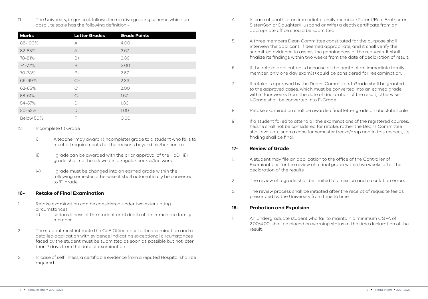11. The University, in general, follows the relative grading scheme which on absolute scale has the following definition:-

| <b>Marks</b> | <b>Letter Grades</b> | <b>Grade Points</b> |
|--------------|----------------------|---------------------|
| 86-100%      | А                    | 4.00                |
| 82-85%       | $A-$                 | 3.67                |
| 78-81%       | $B+$                 | 3.33                |
| 74-77%       | B                    | 3.00                |
| 70-73%       | $B-$                 | 2.67                |
| 66-69%       | $C+$                 | 2.33                |
| 62-65%       | C                    | 2.00                |
| 58-61%       | $C-$                 | 1.67                |
| 54-57%       | $D+$                 | 1.33                |
| 50-53%       | $\mathsf{D}$         | 1.00                |
| Below 50%    | F                    | 0.00                |

#### 12. Incomplete (I) Grade

- i) A teacher may award I (incomplete) grade to a student who fails to meet all requirements for the reasons beyond his/her control.
- ii) I grade can be awarded with the prior approval of the HoD. iii)I grade shall not be allowed in a regular course/lab work.
- iv) I grade must be changed into an earned grade within the following semester, otherwise it shall automatically be converted to 'F' grade.

#### 16- Retake of Final Examination

- 1. Retake examination can be considered under two extenuating circumstances:
	- a) serious illness of the student or b) death of an immediate family member.
- 2. The student must intimate the CoE Office prior to the examination and a detailed application with evidence indicating exceptional circumstances faced by the student must be submitted as soon as possible but not later than 7 days from the date of examination.
- 3. In case of self illness, a certifiable evidence from a reputed Hospital shall be required.
- 4. In case of death of an immediate family member (Parent/Real Brother or Sister/Son or Daughter/Husband or Wife) a death certificate from an appropriate office should be submitted.
- 5. A three members Dean Committee constituted for the purpose shall interview the applicant, if deemed appropriate, and it shall verify the submitted evidence to assess the genuineness of the requests. It shall finalize its findings within two weeks from the date of declaration of result.
- 6. If the retake application is because of the death of an immediate family member, only one day exam(s) could be considered for reexamination.
- 7. If retake is approved by the Deans Committee, I-Grade shall be granted to the approved cases, which must be converted into an earned grade within four weeks from the date of declaration of the result; otherwise I-Grade shall be converted into F-Grade.
- 8. Retake examination shall be awarded final letter grade on absolute scale.
- 9. If a student failed to attend all the examinations of the registered courses, he/she shall not be considered for retake; rather the Deans Committee shall evaluate such a case for semester freeze/drop and in this respect, its finding shall be final.

#### 17- Review of Grade

- 1. A student may file an application to the office of the Controller of Examinations for the review of a final grade within two weeks after the declaration of the results.
- 2. The review of a grade shall be limited to omission and calculation errors.
- 3. The review process shall be initiated after the receipt of requisite fee as prescribed by the University from time to time.

#### 18- Probation and Expulsion

1. An undergraduate student who fail to maintain a minimum CGPA of 2.00/4.00, shall be placed on warning status at the time declaration of the result.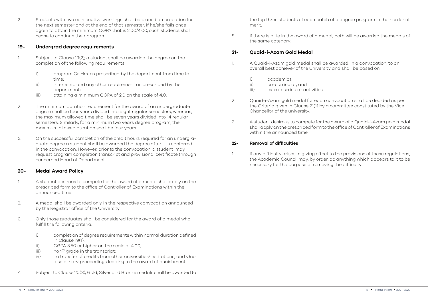2. Students with two consecutive warnings shall be placed on probation for the next semester and at the end of that semester, if he/she fails once again to attain the minimum CGPA that is 2.00/4.00, such students shall cease to continue their program.

#### 19- Undergrad degree requirements

- 1. Subject to Clause 19(2), a student shall be awarded the degree on the completion of the following requirements:
	- i) program Cr. Hrs. as prescribed by the department from time to time;
	- ii) internship and any other requirement as prescribed by the department;
	- iii) attaining a minimum CGPA of 2.0 on the scale of 4.0.
- 2. The minimum duration requirement for the award of an undergraduate degree shall be four years divided into eight regular semesters; whereas, the maximum allowed time shall be seven years divided into 14 regular semesters. Similarly, for a minimum two years degree program, the maximum allowed duration shall be four years.
- 3. On the successful completion of the credit hours required for an undergraduate degree a student shall be awarded the degree after it is conferred in the convocation. However, prior to the convocation, a student may request program completion transcript and provisional certificate through concerned Head of Department.

#### 20- Medal Award Policy

- 1. A student desirous to compete for the award of a medal shall apply on the prescribed form to the office of Controller of Examinations within the announced time.
- 2. A medal shall be awarded only in the respective convocation announced by the Registrar office of the University.
- 3. Only those graduates shall be considered for the award of a medal who fulfill the following criteria:
	- i) completion of degree requirements within normal duration defined in Clause 19(1);
	- ii) CGPA 3.50 or higher on the scale of 4.00;
	- iii) no 'F' grade in the transcript;
	- iv) no transfer of credits from other universities/institutions; and v)no disciplinary proceedings leading to the award of punishment.
- 4. Subject to Clause 20(3), Gold, Silver and Bronze medals shall be awarded to

the top three students of each batch of a degree program in their order of merit.

5. If there is a tie in the award of a medal, both will be awarded the medals of the same category.

#### 21- Quaid-i-Azam Gold Medal

- 1. A Quaid-i-Azam gold medal shall be awarded, in a convocation, to an overall best achiever of the University and shall be based on:
	- i) academics;
	- ii) co-curricular; and
	- iii) extra-curricular activities.
- 2. Quaid-i-Azam gold medal for each convocation shall be decided as per the Criteria given in Clause 21(1) by a committee constituted by the Vice Chancellor of the university.
- 3. A student desirous to compete for the award of a Quaid-i-Azam gold medal shall apply on the prescribed form to the office of Controller of Examinations within the announced time.

#### 22- Removal of difficulties

1. If any difficulty arises in giving effect to the provisions of these regulations, the Academic Council may, by order, do anything which appears to it to be necessary for the purpose of removing the difficulty.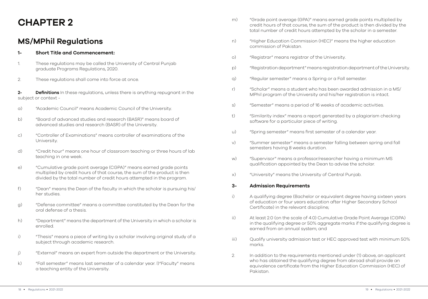## CHAPTER 2

### MS/MPhil Regulations

#### 1- Short Title and Commencement:

- 1. These regulations may be called the University of Central Punjab graduate Programs Regulations, 2020.
- 2. These regulations shall come into force at once.

2- Definitions In these regulations, unless there is anything repugnant in the subject or context -

- a) "Academic Council" means Academic Council of the University.
- b) "Board of advanced studies and research (BASR)" means board of advanced studies and research (BASR) of the University.
- c) "Controller of Examinations" means controller of examinations of the **University**
- d) "Credit hour" means one hour of classroom teaching or three hours of lab teaching in one week.
- e) "Cumulative grade point average (CGPA)" means earned grade points multiplied by credit hours of that course, the sum of the product is then divided by the total number of credit hours attempted in the program.
- f) "Dean" means the Dean of the faculty in which the scholar is pursuing his/ her studies.
- g) "Defense committee" means a committee constituted by the Dean for the oral defense of a thesis.
- h) "Department" means the department of the University in which a scholar is enrolled.
- i) "Thesis" means a piece of writing by a scholar involving original study of a subject through academic research.
- j) "External" means an expert from outside the department or the University.
- k) "Fall semester" means last semester of a calendar year. l)"Faculty" means a teaching entity of the University.
- m) "Grade point average (GPA)" means earned grade points multiplied by credit hours of that course, the sum of the product is then divided by the total number of credit hours attempted by the scholar in a semester.
- n) "Higher Education Commission (HEC)" means the higher education commission of Pakistan.
- o) "Registrar" means registrar of the University.
- p) "Registration department" means registration department of the University.
- q) "Regular semester" means a Spring or a Fall semester.
- r) "Scholar" means a student who has been awarded admission in a MS/ MPhil program of the University and his/her registration is intact.
- s) "Semester" means a period of 16 weeks of academic activities.
- t) "Similarity index" means a report generated by a plagiarism checking software for a particular piece of writing.
- u) "Spring semester" means first semester of a calendar year.
- v) "Summer semester" means a semester falling between spring and fall semesters having 8 weeks duration.
- w) "Supervisor" means a professor/researcher having a minimum MS qualification appointed by the Dean to advise the scholar.
- x) "University" means the University of Central Punjab.

#### 3- Admission Requirements

- i) A qualifying degree (Bachelor or equivalent degree having sixteen years of education or four years education after Higher Secondary School Certificate) in the relevant discipline;
- ii) At least 2.0 (on the scale of 4.0) Cumulative Grade Point Average (CGPA) in the qualifying degree or 50% aggregate marks if the qualifying degree is earned from an annual system; and
- iii) Qualify university admission test or HEC approved test with minimum 50% marks.
- 2. In addition to the requirements mentioned under (1) above, an applicant who has obtained the qualifying degree from abroad shall provide an equivalence certificate from the Higher Education Commission (HEC) of Pakistan.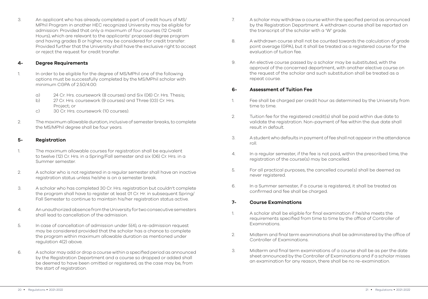3. An applicant who has already completed a part of credit hours of MS/ MPhil Program in another HEC recognized University may be eligible for admission: Provided that only a maximum of four courses (12 Credit Hours), which are relevant to the applicants' proposed degree program and having grades B or higher, may be considered for credit transfer: Provided further that the University shall have the exclusive right to accept or reject the request for credit transfer.

#### 4- Degree Requirements

- 1. In order to be eligible for the degree of MS/MPhil one of the following options must be successfully completed by the MS/MPhil scholar with minimum CGPA of 2.50/4.00:
	- a) 24 Cr. Hrs. coursework (8 courses) and Six (06) Cr. Hrs. Thesis;
	- b) 27 Cr. Hrs. coursework (9 courses) and Three (03) Cr. Hrs. Project; or
	- c) 30 Cr. Hrs. coursework (10 courses).
- 2. The maximum allowable duration, inclusive of semester breaks, to complete the MS/MPhil degree shall be four years.

#### 5- Registration

- 1. The maximum allowable courses for registration shall be equivalent to twelve (12) Cr. Hrs. in a Spring/Fall semester and six (06) Cr. Hrs. in a Summer semester.
- 2. A scholar who is not registered in a regular semester shall have an inactive registration status unless he/she is on a semester break.
- 3. A scholar who has completed 30 Cr. Hrs. registration but couldn't complete the program shall have to register at least 01 Cr. Hr. in subsequent Spring/ Fall Semester to continue to maintain his/her registration status active.
- 4. An unauthorized absence from the University for two consecutive semesters shall lead to cancellation of the admission.
- 5. In case of cancellation of admission under 5(4), a re-admission request may be considered provided that the scholar has a chance to complete the program within maximum allowable duration as mentioned under regulation 4(2) above.
- 6. A scholar may add or drop a course within a specified period as announced by the Registration Department and a course so dropped or added shall be deemed to have been omitted or registered, as the case may be, from the start of registration.
- 7. A scholar may withdraw a course within the specified period as announced by the Registration Department. A withdrawn course shall be reported on the transcript of the scholar with a 'W' grade.
- 8. A withdrawn course shall not be counted towards the calculation of grade point average (GPA), but it shall be treated as a registered course for the evaluation of tuition fee.
- 9. An elective course passed by a scholar may be substituted, with the approval of the concerned department, with another elective course on the request of the scholar and such substitution shall be treated as a repeat course.

#### 6- Assessment of Tuition Fee

- 1. Fee shall be charged per credit hour as determined by the University from time to time.
- 2. Tuition fee for the registered credit(s) shall be paid within due date to validate the registration. Non-payment of fee within the due date shall result in default.
- 3. A student who defaults in payment of fee shall not appear in the attendance roll.
- 4. In a regular semester, if the fee is not paid, within the prescribed time, the registration of the course(s) may be cancelled.
- 5. For all practical purposes, the cancelled course(s) shall be deemed as never registered.
- 6. In a Summer semester, if a course is registered, it shall be treated as confirmed and fee shall be charged.

#### 7- Course Examinations

- 1. A scholar shall be eligible for final examination if he/she meets the requirements specified from time to time by the office of Controller of Examinations.
- 2. Midterm and final term examinations shall be administered by the office of Controller of Examinations.
- 3. Midterm and final term examinations of a course shall be as per the date sheet announced by the Controller of Examinations and if a scholar misses an examination for any reason, there shall be no re-examination.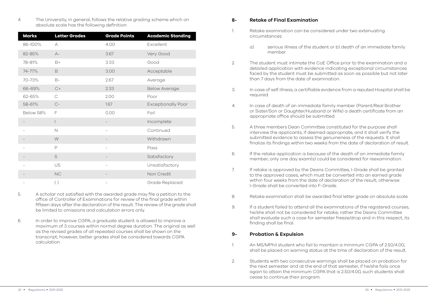4. The University, in general, follows the relative grading scheme which on absolute scale has the following definition:

| <b>Marks</b> | <b>Letter Grades</b> | <b>Grade Points</b> | <b>Academic Standing</b>  |
|--------------|----------------------|---------------------|---------------------------|
| 86-100%      | A                    | 4.00                | Excellent                 |
| 82-85%       | $A -$                | 3.67                | Very Good                 |
| 78-81%       | $B+$                 | 3.33                | Good                      |
| 74-77%       | B                    | 3.00                | Acceptable                |
| 70-73%       | $B-$                 | 2.67                | Average                   |
| 66-69%       | $C+$                 | 2.33                | <b>Below Average</b>      |
| 62-65%       | C                    | 2.00                | Poor                      |
| 58-61%       | $C-$                 | 1.67                | <b>Exceptionally Poor</b> |
| Below 58%    | F                    | 0.00                | Fail                      |
|              | L                    |                     | Incomplete                |
|              | $\mathbb N$          | $\qquad \qquad -$   | Continued                 |
|              | W                    |                     | Withdrawn                 |
|              | P                    |                     | Pass                      |
|              | S                    |                     | Satisfactory              |
|              | US                   |                     | Unsatisfactory            |
|              | NC                   |                     | Non Credit                |
|              | $( )$                |                     | Grade Replaced            |

- 5. A scholar not satisfied with the awarded grade may file a petition to the office of Controller of Examinations for review of the final grade within fifteen days after the declaration of the result. The review of the grade shall be limited to omissions and calculation errors only.
- 6. In order to improve CGPA, a graduate student is allowed to improve a maximum of 3 courses within normal degree duration. The original as well as the revised grades of all repeated courses shall be shown on the transcript; however, better grades shall be considered towards CGPA calculation.

#### 8- Retake of Final Examination

- 1. Retake examination can be considered under two extenuating circumstances:
	- a) serious illness of the student or b) death of an immediate family member.
- 2. The student must intimate the CoE Office prior to the examination and a detailed application with evidence indicating exceptional circumstances faced by the student must be submitted as soon as possible but not later than 7 days from the date of examination.
- 3. In case of self illness, a certifiable evidence from a reputed Hospital shall be required.
- 4. In case of death of an immediate family member (Parent/Real Brother or Sister/Son or Daughter/Husband or Wife) a death certificate from an appropriate office should be submitted.
- 5. A three members Dean Committee constituted for the purpose shall interview the applicants, if deemed appropriate, and it shall verify the submitted evidence to assess the genuineness of the requests. It shall finalize its findings within two weeks from the date of declaration of result.
- 6. If the retake application is because of the death of an immediate family member, only one day exam(s) could be considered for reexamination.
- 7. If retake is approved by the Deans Committee, I-Grade shall be granted to the approved cases, which must be converted into an earned grade within four weeks from the date of declaration of the result; otherwise I-Grade shall be converted into F-Grade.
- 8. Retake examination shall be awarded final letter grade on absolute scale.
- 9. If a student failed to attend all the examinations of the registered courses, he/she shall not be considered for retake; rather the Deans Committee shall evaluate such a case for semester freeze/drop and in this respect, its finding shall be final.

#### 9- Probation & Expulsion

- 1. An MS/MPhil student who fail to maintain a minimum CGPA of 2.50/4.00, shall be placed on warning status at the time of declaration of the result.
- 2. Students with two consecutive warnings shall be placed on probation for the next semester and at the end of that semester, if he/she fails once again to attain the minimum CGPA that is 2.50/4.00, such students shall cease to continue their program.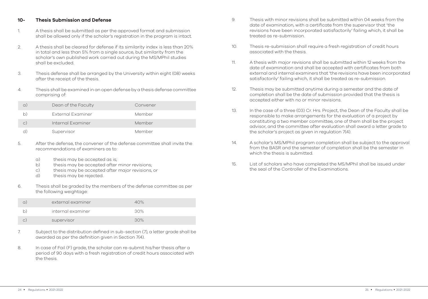#### 10- Thesis Submission and Defense

- 1. A thesis shall be submitted as per the approved format and submission shall be allowed only if the scholar's registration in the program is intact.
- 2. A thesis shall be cleared for defense if its similarity index is less than 20% in total and less than 5% from a single source, but similarity from the scholar's own published work carried out during the MS/MPhil studies shall be excluded.
- 3. Thesis defense shall be arranged by the University within eight (08) weeks after the receipt of the thesis.
- 4. Thesis shall be examined in an open defense by a thesis defense committee comprising of:

| a)        | Dean of the Faculty | Convener |
|-----------|---------------------|----------|
| b)        | External Examiner   | Member   |
| $\circ$ ) | Internal Examiner   | Member   |
|           | Supervisor          | Member   |

- 5. After the defense, the convener of the defense committee shall invite the recommendations of examiners as to:
	- a) thesis may be accepted as is;
	- b) thesis may be accepted after minor revisions;
	- c) thesis may be accepted after major revisions, or
	- d) thesis may be rejected.
- 6. Thesis shall be graded by the members of the defense committee as per the following weightage:

|   | external examiner | 40% |
|---|-------------------|-----|
|   | internal examiner | 30% |
| C | supervisor        | 30% |

- 7. Subject to the distribution defined in sub-section (7), a letter grade shall be awarded as per the definition given in Section 7(4).
- 8. In case of Fail (F) grade, the scholar can re-submit his/her thesis after a period of 90 days with a fresh registration of credit hours associated with the thesis.
- 9. Thesis with minor revisions shall be submitted within 04 weeks from the date of examination, with a certificate from the supervisor that 'the revisions have been incorporated satisfactorily' failing which, it shall be treated as re-submission.
- 10. Thesis re-submission shall require a fresh registration of credit hours associated with the thesis.
- 11. A thesis with major revisions shall be submitted within 12 weeks from the date of examination and shall be accepted with certificates from both external and internal examiners that 'the revisions have been incorporated satisfactorily' failing which, it shall be treated as re-submission.
- 12. Thesis may be submitted anytime during a semester and the date of completion shall be the date of submission provided that the thesis is accepted either with no or minor revisions.
- 13. In the case of a three (03) Cr. Hrs. Project, the Dean of the Faculty shall be responsible to make arrangements for the evaluation of a project by constituting a two member committee, one of them shall be the project advisor, and the committee after evaluation shall award a letter grade to the scholar's project as given in regulation 7(4).
- 14. A scholar's MS/MPhil program completion shall be subject to the approval from the BASR and the semester of completion shall be the semester in which the thesis is submitted.
- 15. List of scholars who have completed the MS/MPhil shall be issued under the seal of the Controller of the Examinations.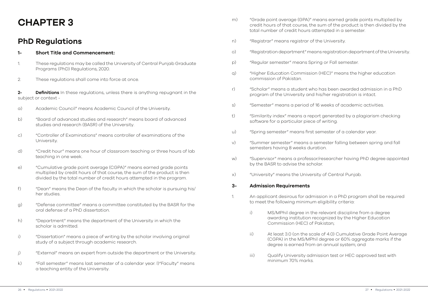## CHAPTER 3

### PhD Regulations

#### 1- Short Title and Commencement:

- 1. These regulations may be called the University of Central Punjab Graduate Programs (PhD) Regulations, 2020.
- 2. These regulations shall come into force at once.

2- **Definitions** In these regulations, unless there is anything repugnant in the subject or context -

- a) Academic Council" means Academic Council of the University.
- b) "Board of advanced studies and research" means board of advanced studies and research (BASR) of the University.
- c) "Controller of Examinations" means controller of examinations of the **University**
- d) "Credit hour" means one hour of classroom teaching or three hours of lab teaching in one week.
- e) "Cumulative grade point average (CGPA)" means earned grade points multiplied by credit hours of that course, the sum of the product is then divided by the total number of credit hours attempted in the program.
- f) "Dean" means the Dean of the faculty in which the scholar is pursuing his/ her studies.
- g) "Defense committee" means a committee constituted by the BASR for the oral defense of a PhD dissertation.
- h) "Department" means the department of the University in which the scholar is admitted.
- i) "Dissertation" means a piece of writing by the scholar involving original study of a subject through academic research.
- j) "External" means an expert from outside the department or the University.
- k) "Fall semester" means last semester of a calendar year. l)"Faculty" means a teaching entity of the University.
- m) "Grade point average (GPA)" means earned grade points multiplied by credit hours of that course, the sum of the product is then divided by the total number of credit hours attempted in a semester.
- n) "Registrar" means registrar of the University.
- o) "Registration department" means registration department of the University.
- p) "Regular semester" means Spring or Fall semester.
- q) "Higher Education Commission (HEC)" means the higher education commission of Pakistan.
- r) "Scholar" means a student who has been awarded admission in a PhD program of the University and his/her registration is intact.
- s) "Semester" means a period of 16 weeks of academic activities.
- t) "Similarity index" means a report generated by a plagiarism checking software for a particular piece of writing.
- u) "Spring semester" means first semester of a calendar year.
- v) "Summer semester" means a semester falling between spring and fall semesters having 8 weeks duration.
- w) "Supervisor" means a professor/researcher having PhD degree appointed by the BASR to advise the scholar.
- x) "University" means the University of Central Punjab.

#### 3- Admission Requirements

- 1. An applicant desirous for admission in a PhD program shall be required to meet the following minimum eligibility criteria:
	- i) MS/MPhil degree in the relevant discipline from a degree awarding institution recognized by the Higher Education Commission (HEC) of Pakistan;
	- ii) At least 3.0 (on the scale of 4.0) Cumulative Grade Point Average (CGPA) in the MS/MPhil degree or 60% aggregate marks if the degree is earned from an annual system; and
	- iii) Qualify University admission test or HEC approved test with minimum 70% marks.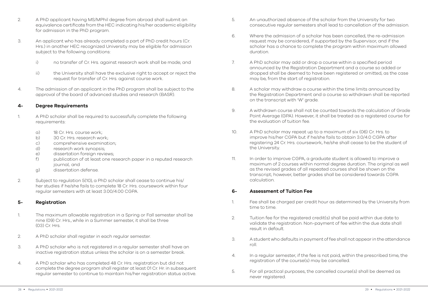- 2. A PhD applicant having MS/MPhil degree from abroad shall submit an equivalence certificate from the HEC indicating his/her academic eligibility for admission in the PhD program.
- 3. An applicant who has already completed a part of PhD credit hours (Cr. Hrs.) in another HEC recognized University may be eligible for admission subject to the following conditions:
	- i) no transfer of Cr. Hrs. against research work shall be made; and
	- ii) the University shall have the exclusive right to accept or reject the request for transfer of Cr. Hrs. against course work.
- 4. The admission of an applicant in the PhD program shall be subject to the approval of the board of advanced studies and research (BASR).

#### 4- Degree Requirements

- 1. A PhD scholar shall be required to successfully complete the following requirements:
	- a) 18 Cr. Hrs. course work;
	- b) 30 Cr. Hrs. research work;
	- c) comprehensive examination;
	- d) research work synopsis;
	- e) dissertation foreign reviews;
	- f) publication of at least one research paper in a reputed research journal, and
	- g) dissertation defense.
- 2. Subject to regulation 5(10), a PhD scholar shall cease to continue his/ her studies if he/she fails to complete 18 Cr. Hrs. coursework within four regular semesters with at least 3.00/4.00 CGPA.

#### 5- Registration

- 1. The maximum allowable registration in a Spring or Fall semester shall be nine (09) Cr. Hrs., while in a Summer semester, it shall be three (03) Cr. Hrs.
- 2. A PhD scholar shall register in each regular semester.
- 3. A PhD scholar who is not registered in a regular semester shall have an inactive registration status unless the scholar is on a semester break.
- 4. A PhD scholar who has completed 48 Cr. Hrs. registration but did not complete the degree program shall register at least 01 Cr. Hr. in subsequent regular semester to continue to maintain his/her registration status active.
- 5. An unauthorized absence of the scholar from the University for two consecutive regular semesters shall lead to cancellation of the admission.
- $6.$  Where the admission of a scholar has been cancelled, the re-admission request may be considered, if supported by the Supervisor, and if the scholar has a chance to complete the program within maximum allowed duration.
- 7. A PhD scholar may add or drop a course within a specified period announced by the Registration Department and a course so added or dropped shall be deemed to have been registered or omitted, as the case may be, from the start of registration.
- 8. A scholar may withdraw a course within the time limits announced by the Registration Department and a course so withdrawn shall be reported on the transcript with 'W' grade.
- 9. A withdrawn course shall not be counted towards the calculation of Grade Point Average (GPA). However, it shall be treated as a registered course for the evaluation of tuition fee.
- 10. A PhD scholar may repeat up to a maximum of six (06) Cr. Hrs. to improve his/her CGPA but if he/she fails to obtain 3.0/4.0 CGPA after registering 24 Cr. Hrs. coursework, he/she shall cease to be the student of the University.
- 11. In order to improve CGPA, a graduate student is allowed to improve a maximum of 2 courses within normal degree duration. The original as well as the revised grades of all repeated courses shall be shown on the transcript; however, better grades shall be considered towards CGPA calculation.

#### 6- Assessment of Tuition Fee

- 1. Fee shall be charged per credit hour as determined by the University from time to time.
- 2. Tuition fee for the registered credit(s) shall be paid within due date to validate the registration. Non-payment of fee within the due date shall result in default.
- 3. A student who defaults in payment of fee shall not appear in the attendance roll.
- 4. In a regular semester, if the fee is not paid, within the prescribed time, the registration of the course(s) may be cancelled.
- 5. For all practical purposes, the cancelled course(s) shall be deemed as never registered.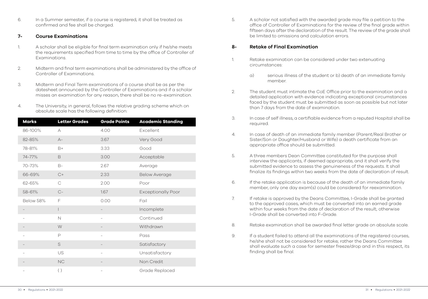6. In a Summer semester, if a course is registered, it shall be treated as confirmed and fee shall be charged.

#### 7- Course Examinations

- 1. A scholar shall be eligible for final term examination only if he/she meets the requirements specified from time to time by the office of Controller of Examinations.
- 2. Midterm and final term examinations shall be administered by the office of Controller of Examinations.
- 3. Midterm and Final Term examinations of a course shall be as per the datesheet announced by the Controller of Examinations and if a scholar misses an examination for any reason, there shall be no re-examination.
- 4. The University, in general, follows the relative grading scheme which on absolute scale has the following definition:

| <b>Marks</b> | <b>Letter Grades</b> | <b>Grade Points</b>      | <b>Academic Standing</b>  |
|--------------|----------------------|--------------------------|---------------------------|
| 86-100%      | А                    | 4.00                     | Excellent                 |
| 82-85%       | $A -$                | 3.67                     | Very Good                 |
| 78-81%       | $B+$                 | 3.33                     | Good                      |
| 74-77%       | B                    | 3.00                     | Acceptable                |
| 70-73%       | $B-$                 | 2.67                     | Average                   |
| 66-69%       | $C+$                 | 2.33                     | <b>Below Average</b>      |
| 62-65%       | $\mathcal{C}$        | 2.00                     | Poor                      |
| 58-61%       | $C-$                 | 1.67                     | <b>Exceptionally Poor</b> |
| Below 58%    | F                    | 0.00                     | Fail                      |
|              | L                    | $\overline{\phantom{0}}$ | Incomplete                |
|              | $\mathbb N$          | $\overline{\phantom{0}}$ | Continued                 |
|              | W                    |                          | Withdrawn                 |
|              | P                    |                          | Pass                      |
|              | S                    |                          | Satisfactory              |
|              | US                   |                          | Unsatisfactory            |
|              | NC                   |                          | Non Credit                |
|              | ( )                  |                          | Grade Replaced            |

5. A scholar not satisfied with the awarded grade may file a petition to the office of Controller of Examinations for the review of the final grade within fifteen days after the declaration of the result. The review of the grade shall be limited to omissions and calculation errors.

#### 8- Retake of Final Examination

- 1. Retake examination can be considered under two extenuating circumstances:
	- a) serious illness of the student or b) death of an immediate family member.
- 2. The student must intimate the CoE Office prior to the examination and a detailed application with evidence indicating exceptional circumstances faced by the student must be submitted as soon as possible but not later than 7 days from the date of examination.
- 3. In case of self illness, a certifiable evidence from a reputed Hospital shall be required.
- 4. In case of death of an immediate family member (Parent/Real Brother or Sister/Son or Daughter/Husband or Wife) a death certificate from an appropriate office should be submitted.
- 5. A three members Dean Committee constituted for the purpose shall interview the applicants, if deemed appropriate, and it shall verify the submitted evidence to assess the genuineness of the requests. It shall finalize its findings within two weeks from the date of declaration of result.
- 6. If the retake application is because of the death of an immediate family member, only one day exam(s) could be considered for reexamination.
- 7. If retake is approved by the Deans Committee, I-Grade shall be granted to the approved cases, which must be converted into an earned grade within four weeks from the date of declaration of the result; otherwise I-Grade shall be converted into F-Grade.
- 8. Retake examination shall be awarded final letter grade on absolute scale.
- 9. If a student failed to attend all the examinations of the registered courses, he/she shall not be considered for retake; rather the Deans Committee shall evaluate such a case for semester freeze/drop and in this respect, its finding shall be final.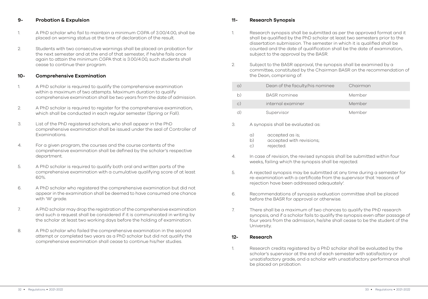#### 9- Probation & Expulsion

- 1. A PhD scholar who fail to maintain a minimum CGPA of 3.00/4.00, shall be placed on warning status at the time of declaration of the result.
- 2. Students with two consecutive warnings shall be placed on probation for the next semester and at the end of that semester, if he/she fails once again to attain the minimum CGPA that is 3.00/4.00, such students shall cease to continue their program.

#### 10- Comprehensive Examination

- 1. A PhD scholar is required to qualify the comprehensive examination within a maximum of two attempts. Maximum duration to qualify comprehensive examination shall be two years from the date of admission.
- 2. A PhD scholar is required to register for the comprehensive examination, which shall be conducted in each regular semester (Spring or Fall).
- 3. List of the PhD registered scholars, who shall appear in the PhD comprehensive examination shall be issued under the seal of Controller of Examinations.
- 4. For a given program, the courses and the course contents of the comprehensive examination shall be defined by the scholar's respective department.
- 5. A PhD scholar is required to qualify both oral and written parts of the comprehensive examination with a cumulative qualifying score of at least 60%.
- 6. A PhD scholar who registered the comprehensive examination but did not appear in the examination shall be deemed to have consumed one chance with 'W' grade.
- 7. A PhD scholar may drop the registration of the comprehensive examination and such a request shall be considered if it is communicated in writing by the scholar at least two working days before the holding of examination.
- 8. A PhD scholar who failed the comprehensive examination in the second attempt or completed two years as a PhD scholar but did not qualify the comprehensive examination shall cease to continue his/her studies.

#### 11- Research Synopsis

- 1. Research synopsis shall be submitted as per the approved format and it shall be qualified by the PhD scholar at least two semesters prior to the dissertation submission. The semester in which it is qualified shall be counted and the date of qualification shall be the date of examination, subject to the approval by the BASR.
- 2. Subject to the BASR approval, the synopsis shall be examined by a committee, constituted by the Chairman BASR on the recommendation of the Dean, comprising of:

| $\alpha$ . | Dean of the faculty/his nominee | Chairman |
|------------|---------------------------------|----------|
| b.         | <b>BASR</b> nominee             | Member   |
| $\circ$ )  | internal examiner               | Member   |
| ď          | Supervisor                      | Member   |

#### 3. A synopsis shall be evaluated as:

- a) accepted as is;
- b) accepted with revisions;
- c) rejected.
- 4. In case of revision, the revised synopsis shall be submitted within four weeks, failing which the synopsis shall be rejected.
- 5. A rejected synopsis may be submitted at any time during a semester for re-examination with a certificate from the supervisor that 'reasons of rejection have been addressed adequately'.
- 6. Recommendations of synopsis evaluation committee shall be placed before the BASR for approval or otherwise.
- 7. There shall be a maximum of two chances to qualify the PhD research synopsis, and if a scholar fails to qualify the synopsis even after passage of four years from the admission, he/she shall cease to be the student of the University.

#### 12- Research

1. Research credits registered by a PhD scholar shall be evaluated by the scholar's supervisor at the end of each semester with satisfactory or unsatisfactory grade, and a scholar with unsatisfactory performance shall be placed on probation.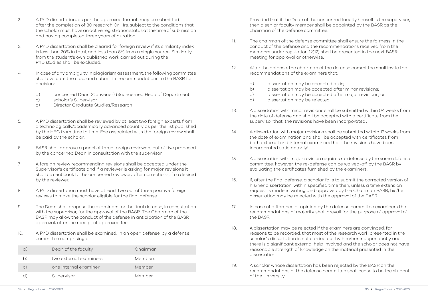- 2. A PhD dissertation, as per the approved format, may be submitted after the completion of 30 research Cr. Hrs. subject to the conditions that the scholar must have an active registration status at the time of submission and having completed three years of duration.
- 3. A PhD dissertation shall be cleared for foreign review if its similarity index is less than 20% in total, and less than 5% from a single source. Similarity from the student's own published work carried out during the PhD studies shall be excluded.
- 4. In case of any ambiguity in plagiarism assessment, the following committee shall evaluate the case and submit its recommendations to the BASR for decision:
	- a) concerned Dean (Convener) b)concerned Head of Department
	- c) scholar's Supervisor
	- d) Director Graduate Studies/Research
- 5. A PhD dissertation shall be reviewed by at least two foreign experts from a technologically/academically advanced country as per the list published by the HEC from time to time. Fee associated with the foreign review shall be paid by the scholar.
- 6. BASR shall approve a panel of three foreign reviewers out of five proposed by the concerned Dean in consultation with the supervisor.
- 7. A foreign review recommending revisions shall be accepted under the Supervisor's certificate and if a reviewer is asking for major revisions it shall be sent back to the concerned reviewer, after corrections, if so desired by the reviewer.
- 8. A PhD dissertation must have at least two out of three positive foreign reviews to make the scholar eligible for the final defense.
- 9. The Dean shall propose the examiners for the final defense, in consultation with the supervisor, for the approval of the BASR. The Chairman of the BASR may allow the conduct of the defense in anticipation of the BASR approval, after the receipt of approved fee.
- 10. A PhD dissertation shall be examined, in an open defense, by a defense committee comprising of:

|               | Dean of the faculty    | Chairman |
|---------------|------------------------|----------|
|               | two external examiners | Members  |
| $\mathcal{C}$ | one internal examiner  | Member   |
|               | Supervisor             | Member   |

Provided that if the Dean of the concerned faculty himself is the supervisor, then a senior faculty member shall be appointed by the BASR as the chairman of the defense committee.

- 11. The chairman of the defense committee shall ensure the fairness in the conduct of the defense and the recommendations received from the members under regulation 12(12) shall be presented in the next BASR meeting for approval or otherwise.
- 12. After the defense, the chairman of the defense committee shall invite the recommendations of the examiners that:
	- a) dissertation may be accepted as is;
	- b) dissertation may be accepted after minor revisions;
	- c) dissertation may be accepted after major revisions; or
	- d) dissertation may be rejected.
- 13. A dissertation with minor revisions shall be submitted within 04 weeks from the date of defense and shall be accepted with a certificate from the supervisor that 'the revisions have been incorporated'.
- 14. A dissertation with major revisions shall be submitted within 12 weeks from the date of examination and shall be accepted with certificates from both external and internal examiners that 'the revisions have been incorporated satisfactorily'.
- 15. A dissertation with major revision requires re-defense by the same defense committee, however, the re-defense can be waived-off by the BASR by evaluating the certificates furnished by the examiners.
- 16. If, after the final defense, a scholar fails to submit the corrected version of his/her dissertation, within specified time then, unless a time extension request is made in writing and approved by the Chairman BASR, his/her dissertation may be rejected with the approval of the BASR.
- 17. In case of difference of opinion by the defense committee examiners the recommendations of majority shall prevail for the purpose of approval of the BASR.
- 18. A dissertation may be rejected if the examiners are convinced, for reasons to be recorded, that most of the research work presented in the scholar's dissertation is not carried out by him/her independently and there is a significant external help involved and the scholar does not have reasonable strength of knowledge on the material presented in the dissertation.
- 19. A scholar whose dissertation has been rejected by the BASR on the recommendations of the defense committee shall cease to be the student of the University.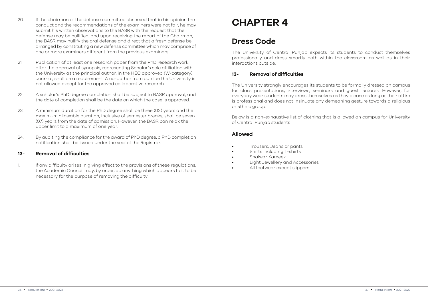- 20. If the chairman of the defense committee observed that in his opinion the conduct and the recommendations of the examiners were not fair, he may submit his written observations to the BASR with the request that the defense may be nullified, and upon receiving the report of the Chairman, the BASR may nullify the oral defense and direct that a fresh defense be arranged by constituting a new defense committee which may comprise of one or more examiners different from the previous examiners.
- 21. Publication of at least one research paper from the PhD research work, after the approval of synopsis, representing Scholar's sole affiliation with the University as the principal author, in the HEC approved (W-category) Journal, shall be a requirement. A co-author from outside the University is not allowed except for the approved collaborative research.
- 22. A scholar's PhD degree completion shall be subject to BASR approval, and the date of completion shall be the date on which the case is approved.
- 23. A minimum duration for the PhD degree shall be three (03) years and the maximum allowable duration, inclusive of semester breaks, shall be seven (07) years from the date of admission. However, the BASR can relax the upper limit to a maximum of one year.
- 24. By auditing the compliance for the award of PhD degree, a PhD completion notification shall be issued under the seal of the Registrar.

#### 13- Removal of difficulties

1. If any difficulty arises in giving effect to the provisions of these regulations, the Academic Council may, by order, do anything which appears to it to be necessary for the purpose of removing the difficulty.

## CHAPTER 4

### Dress Code

The University of Central Punjab expects its students to conduct themselves professionally and dress smartly both within the classroom as well as in their interactions outside.

#### 13- Removal of difficulties

The University strongly encourages its students to be formally dressed on campus for class presentations, interviews, seminars and guest lectures. However, for everyday wear students may dress themselves as they please as long as their attire is professional and does not insinuate any demeaning gesture towards a religious or ethnic group.

Below is a non-exhaustive list of clothing that is allowed on campus for University of Central Punjab students

#### Allowed

- Trousers, Jeans or pants
- Shirts including T-shirts
- Shalwar Kameez
- Light Jewellery and Accessories
- All footwear except slippers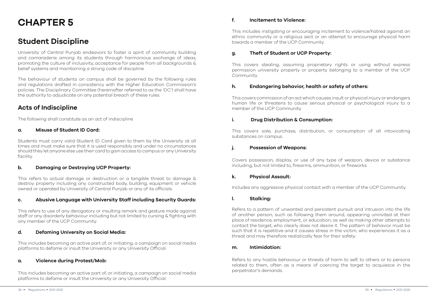## CHAPTER 5

### Student Discipline

University of Central Punjab endeavors to foster a spirit of community building and camaraderie among its students through harmonious exchange of ideas, promoting the culture of inclusivity, acceptance for people from all backgrounds & belief systems and maintaining a strong code of discipline.

The behaviour of students on campus shall be governed by the following rules and regulations drafted in consistency with the Higher Education Commission's policies. The Disciplinary Committee (hereinafter referred to as the 'DC') shall have the authority to adjudicate on any potential breach of these rules.

#### Acts of Indiscipline

The following shall constitute as an act of indiscipline

#### a. Misuse of Student ID Card:

Students must carry valid Student ID Card given to them by the University at all times and must make sure that it is used responsibly and under no circumstances should they let anyone else use their card to gain access to campus or any University facility.

#### b. Damaging or Destroying UCP Property:

This refers to actual damage or destruction or a tangible threat to damage & destroy property including any constructed body, building, equipment or vehicle owned or operated by University of Central Punjab or any of its officials.

#### c. Abusive Language with University Staff including Security Guards:

This refers to use of any derogatory or insulting remark and gesture made against staff or any disorderly behaviour including but not limited to cursing & fighting with any member of the UCP Community.

#### d. Defaming University on Social Media:

This includes becoming an active part of, or initiating, a campaign on social media platforms to defame or insult the University or any University Official.

#### a. Violence during Protest/Mob:

This includes becoming an active part of, or initiating, a campaign on social media platforms to defame or insult the University or any University Official.

#### f. Incitement to Violence:

This includes instigating or encouraging incitement to violence/hatred against an ethnic community or a religious sect or an attempt to encourage physical harm towards a member of the UCP Community.

#### g. Theft of Student or UCP Property:

This covers stealing, assuming proprietary rights or using without express permission university property or property belonging to a member of the UCP Community

#### h. Endangering behavior, health or safety of others:

This covers commission of an act which causes insult or physical injury or endangers human life or threatens to cause serious physical or psychological injury to a member of the UCP Community

#### i. Drug Distribution & Consumption:

This covers sale, purchase, distribution, or consumption of all intoxicating substances on campus.

#### j. Possession of Weapons:

Covers possession, display, or use of any type of weapon, device or substance including, but not limited to, firearms, ammunition, or fireworks.

#### k. Physical Assault:

Includes any aggressive physical contact with a member of the UCP Community.

#### l. Stalking:

Refers to a pattern of unwanted and persistent pursuit and intrusion into the life of another person, such as following them around, appearing uninvited at their place of residence, employment, or education, as well as making other attempts to contact the target, who clearly does not desire it. The pattern of behavior must be such that it is repetitive and it causes stress in the victim, who experiences it as a threat and may therefore realistically fear for their safety.

#### m. Intimidation:

Refers to any hostile behaviour or threats of harm to self, to others or to persons related to them, often as a means of coercing the target to acquiesce in the perpetrator's demands.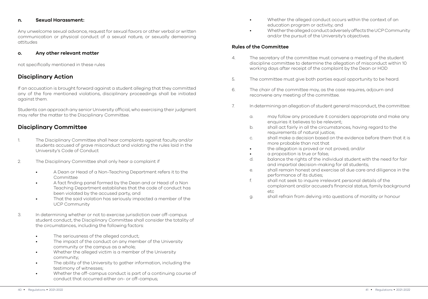#### n. Sexual Harassment:

Any unwelcome sexual advance, request for sexual favors or other verbal or written communication or physical conduct of a sexual nature, or sexually demeaning attitudes

#### o. Any other relevant matter

not specifically mentioned in these rules

#### Disciplinary Action

If an accusation is brought forward against a student alleging that they committed any of the fore mentioned violations, disciplinary proceedings shall be initiated against them.

Students can approach any senior University official, who exercising their judgment may refer the matter to the Disciplinary Committee.

#### Disciplinary Committee

- 1. The Disciplinary Committee shall hear complaints against faculty and/or students accused of grave misconduct and violating the rules laid in the University's Code of Conduct
- 2. The Disciplinary Committee shall only hear a complaint if
	- A Dean or Head of a Non-Teaching Department refers it to the Committee
	- A fact finding panel formed by the Dean and or Head of a Non Teaching Department establishes that the code of conduct has been violated by the accused party, and
	- That the said violation has seriously impacted a member of the UCP Community
- 3. In determining whether or not to exercise jurisdiction over off-campus student conduct, the Disciplinary Committee shall consider the totality of the circumstances, including the following factors:
	- The seriousness of the alleged conduct;
	- The impact of the conduct on any member of the University community or the campus as a whole;
	- Whether the alleged victim is a member of the University community;
	- The ability of the University to gather information, including the testimony of witnesses;
	- Whether the off-campus conduct is part of a continuing course of conduct that occurred either on- or off-campus;
- Whether the alleged conduct occurs within the context of an education program or activity; and
- Whether the alleged conduct adversely affects the UCP Community and/or the pursuit of the University's objectives.

#### Rules of the Committee

- 4. The secretary of the committee must convene a meeting of the student discipline committee to determine the allegation of misconduct within 10 working days after receipt of the complaint by the Dean or HOD
- 5. The committee must give both parties equal opportunity to be heard.
- 6. The chair of the committee may, as the case requires, adjourn and reconvene any meeting of the committee.
- 7. In determining an allegation of student general misconduct, the committee:
	- a. may follow any procedure it considers appropriate and make any enquiries it believes to be relevant;
	- b. shall act fairly in all the circumstances, having regard to the requirements of natural justice;
	- c. shall make a decision based on the evidence before them that it is more probable than not that
	- the allegation is proved or not proved; and/or
	- a proposition is true or false;
	- d. balance the rights of the individual student with the need for fair and impartial decision-making for all students;
	- e. shall remain honest and exercise all due care and diligence in the performance of its duties;
	- f. shall not seek to inquire irrelevant personal details of the complainant and/or accused's financial status, family background etc
	- g. shall refrain from delving into questions of morality or honour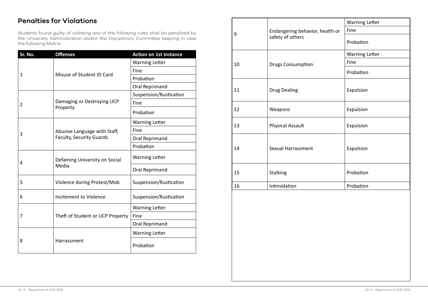### Penalties for Violations

Students found guilty of violating any of the following rules shall be penalized by the University Administration and/or the Disciplinary Committee keeping in view the following Matrix.

| Sr. No. | <b>Offenses</b>                        | <b>Action on 1st Instance</b> |
|---------|----------------------------------------|-------------------------------|
|         |                                        | <b>Warning Letter</b>         |
| 1       |                                        | Fine                          |
|         | Misuse of Student ID Card              | Probation                     |
|         |                                        | Oral Reprimand                |
|         |                                        | Suspension/Rustication        |
| 2       | Damaging or Destroying UCP             | Fine                          |
|         | Property                               | Probation                     |
|         |                                        | <b>Warning Letter</b>         |
| 3       | Abusive Language with Staff,           | Fine                          |
|         | <b>Faculty, Security Guards</b>        | Oral Reprimand                |
|         |                                        | Probation                     |
| 4       | Defaming University on Social<br>Media | <b>Warning Letter</b>         |
|         |                                        | Oral Reprimand                |
| 5       | Violence during Protest/Mob            | Suspension/Rustication        |
| 6       | Incitement to Violence                 | Suspension/Rustication        |
| 7       |                                        | <b>Warning Letter</b>         |
|         | Theft of Student or UCP Property       | Fine                          |
|         |                                        | Oral Reprimand                |
|         |                                        | <b>Warning Letter</b>         |
| 8       | Harrassment                            | Probation                     |

|    |                                                     | <b>Warning Letter</b> |
|----|-----------------------------------------------------|-----------------------|
| 9  | Endangering behavior, health or<br>safety of others | Fine                  |
|    |                                                     | Probation             |
|    |                                                     | <b>Warning Letter</b> |
| 10 | <b>Drugs Consumption</b>                            | Fine                  |
|    |                                                     | Probation             |
| 11 | <b>Drug Dealing</b>                                 | Expulsion             |
| 12 | Weapons                                             | Expulsion             |
| 13 | <b>Physical Assault</b>                             | Expulsion             |
| 14 | Sexual Harrassment                                  | Expulsion             |
| 15 | Stalking                                            | Probation             |
| 16 | Intimidation                                        | Probation             |
|    |                                                     |                       |